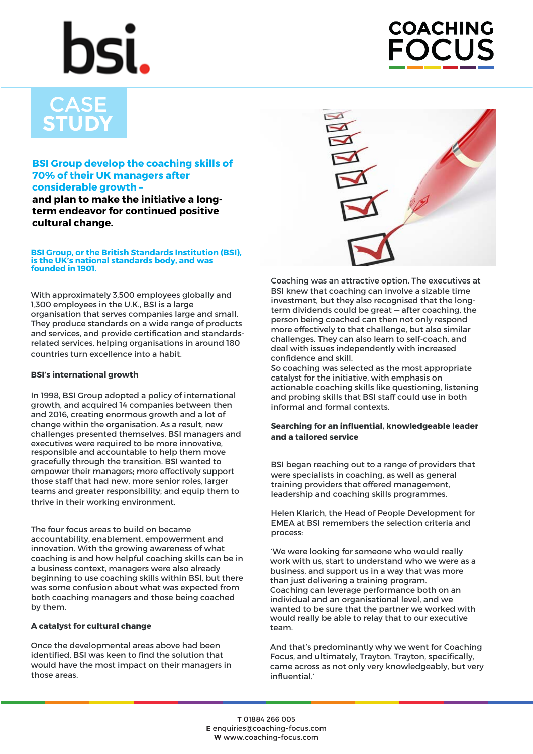# **COACHING CLUS**

## **CASE STUDY**

### **BSI Group develop the coaching skills of 70% of their UK managers after considerable growth –**

**and plan to make the initiative a longterm endeavor for continued positive cultural change.**

#### **BSI Group, or the British Standards Institution (BSI), is the UK's national standards body, and was founded in 1901.**

With approximately 3,500 employees globally and 1,300 employees in the U.K., BSI is a large organisation that serves companies large and small. They produce standards on a wide range of products and services, and provide certification and standardsrelated services, helping organisations in around 180 countries turn excellence into a habit.

#### **BSI's international growth**

In 1998, BSI Group adopted a policy of international growth, and acquired 14 companies between then and 2016, creating enormous growth and a lot of change within the organisation. As a result, new challenges presented themselves. BSI managers and executives were required to be more innovative, responsible and accountable to help them move gracefully through the transition. BSI wanted to empower their managers; more effectively support those staff that had new, more senior roles, larger teams and greater responsibility; and equip them to thrive in their working environment.

The four focus areas to build on became accountability, enablement, empowerment and innovation. With the growing awareness of what coaching is and how helpful coaching skills can be in a business context, managers were also already beginning to use coaching skills within BSI, but there was some confusion about what was expected from both coaching managers and those being coached by them.

### **A catalyst for cultural change**

Once the developmental areas above had been identified, BSI was keen to find the solution that would have the most impact on their managers in those areas.



Coaching was an attractive option. The executives at BSI knew that coaching can involve a sizable time investment, but they also recognised that the longterm dividends could be great — after coaching, the person being coached can then not only respond more effectively to that challenge, but also similar challenges. They can also learn to self-coach, and deal with issues independently with increased confidence and skill.

So coaching was selected as the most appropriate catalyst for the initiative, with emphasis on actionable coaching skills like questioning, listening and probing skills that BSI staff could use in both informal and formal contexts.

#### **Searching for an influential, knowledgeable leader and a tailored service**

BSI began reaching out to a range of providers that were specialists in coaching, as well as general training providers that offered management, leadership and coaching skills programmes.

Helen Klarich, the Head of People Development for EMEA at BSI remembers the selection criteria and process:

'We were looking for someone who would really work with us, start to understand who we were as a business, and support us in a way that was more than just delivering a training program. Coaching can leverage performance both on an individual and an organisational level, and we wanted to be sure that the partner we worked with would really be able to relay that to our executive team.

And that's predominantly why we went for Coaching Focus, and ultimately, Trayton. Trayton, specifically, came across as not only very knowledgeably, but very influential.'